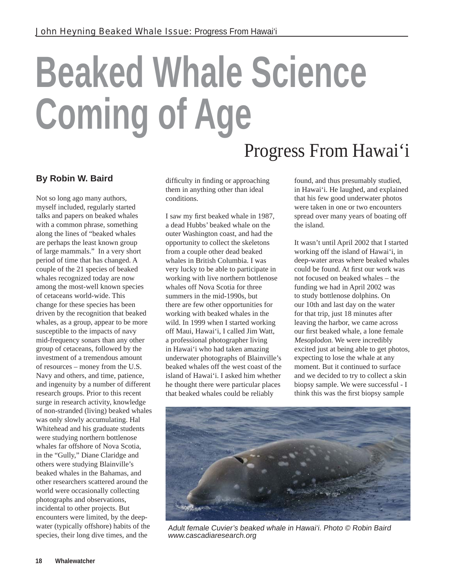## **Beaked Whale Science Coming of Age** Progress From Hawai'i

## **By Robin W. Baird**

Not so long ago many authors, myself included, regularly started talks and papers on beaked whales with a common phrase, something along the lines of "beaked whales are perhaps the least known group of large mammals." In a very short period of time that has changed. A couple of the 21 species of beaked whales recognized today are now among the most-well known species of cetaceans world-wide. This change for these species has been driven by the recognition that beaked whales, as a group, appear to be more susceptible to the impacts of navy mid-frequency sonars than any other group of cetaceans, followed by the investment of a tremendous amount of resources – money from the U.S. Navy and others, and time, patience, and ingenuity by a number of different research groups. Prior to this recent surge in research activity, knowledge of non-stranded (living) beaked whales was only slowly accumulating. Hal Whitehead and his graduate students were studying northern bottlenose whales far offshore of Nova Scotia, in the "Gully," Diane Claridge and others were studying Blainville's beaked whales in the Bahamas, and other researchers scattered around the world were occasionally collecting photographs and observations, incidental to other projects. But encounters were limited, by the deepwater (typically offshore) habits of the species, their long dive times, and the

difficulty in finding or approaching them in anything other than ideal conditions.

I saw my first beaked whale in 1987, a dead Hubbs' beaked whale on the outer Washington coast, and had the opportunity to collect the skeletons from a couple other dead beaked whales in British Columbia. I was very lucky to be able to participate in working with live northern bottlenose whales off Nova Scotia for three summers in the mid-1990s, but there are few other opportunities for working with beaked whales in the wild. In 1999 when I started working off Maui, Hawai'i, I called Jim Watt, a professional photographer living in Hawai'i who had taken amazing underwater photographs of Blainville's beaked whales off the west coast of the island of Hawai'i. I asked him whether he thought there were particular places that beaked whales could be reliably

found, and thus presumably studied, in Hawai'i. He laughed, and explained that his few good underwater photos were taken in one or two encounters spread over many years of boating off the island.

It wasn't until April 2002 that I started working off the island of Hawai'i, in deep-water areas where beaked whales could be found. At first our work was not focused on beaked whales – the funding we had in April 2002 was to study bottlenose dolphins. On our 10th and last day on the water for that trip, just 18 minutes after leaving the harbor, we came across our first beaked whale, a lone female Mesoplodon. We were incredibly excited just at being able to get photos, expecting to lose the whale at any moment. But it continued to surface and we decided to try to collect a skin biopsy sample. We were successful - I think this was the first biopsy sample



Adult female Cuvier's beaked whale in Hawai'i. Photo © Robin Baird www.cascadiaresearch.org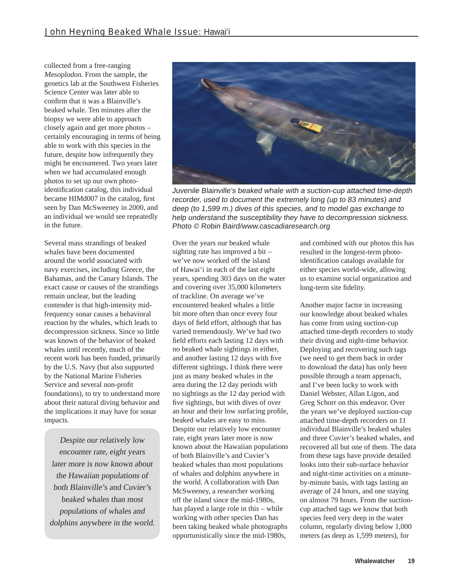collected from a free-ranging Mesoplodon. From the sample, the genetics lab at the Southwest Fisheries Science Center was later able to confirm that it was a Blainville's beaked whale. Ten minutes after the biopsy we were able to approach closely again and get more photos – certainly encouraging in terms of being able to work with this species in the future, despite how infrequently they might be encountered. Two years later when we had accumulated enough photos to set up our own photoidentification catalog, this individual became HIMd007 in the catalog, first seen by Dan McSweeney in 2000, and an individual we would see repeatedly in the future.

Several mass strandings of beaked whales have been documented around the world associated with navy exercises, including Greece, the Bahamas, and the Canary Islands. The exact cause or causes of the strandings remain unclear, but the leading contender is that high-intensity midfrequency sonar causes a behavioral reaction by the whales, which leads to decompression sickness. Since so little was known of the behavior of beaked whales until recently, much of the recent work has been funded, primarily by the U.S. Navy (but also supported by the National Marine Fisheries Service and several non-profit foundations), to try to understand more about their natural diving behavior and the implications it may have for sonar impacts.

Despite our relatively low encounter rate, eight years later more is now known about the Hawaiian populations of both Blainville's and Cuvier's beaked whales than most populations of whales and dolphins anywhere in the world.



Juvenile Blainville's beaked whale with a suction-cup attached time-depth recorder, used to document the extremely long (up to 83 minutes) and deep (to 1,599 m.) dives of this species, and to model gas exchange to help understand the susceptibility they have to decompression sickness. Photo © Robin Baird/www.cascadiaresearch.org

Over the years our beaked whale sighting rate has improved a bit – we've now worked off the island of Hawai'i in each of the last eight years, spending 303 days on the water and covering over 35,000 kilometers of trackline. On average we've encountered beaked whales a little bit more often than once every four days of field effort, although that has varied tremendously. We've had two field efforts each lasting 12 days with no beaked whale sightings in either, and another lasting 12 days with five different sightings. I think there were just as many beaked whales in the area during the 12 day periods with no sightings as the 12 day period with five sightings, but with dives of over an hour and their low surfacing profile, beaked whales are easy to miss. Despite our relatively low encounter rate, eight years later more is now known about the Hawaiian populations of both Blainville's and Cuvier's beaked whales than most populations of whales and dolphins anywhere in the world. A collaboration with Dan McSweeney, a researcher working off the island since the mid-1980s, has played a large role in this – while working with other species Dan has been taking beaked whale photographs opportunistically since the mid-1980s,

and combined with our photos this has resulted in the longest-term photoidentification catalogs available for either species world-wide, allowing us to examine social organization and long-term site fidelity.

Another major factor in increasing our knowledge about beaked whales has come from using suction-cup attached time-depth recorders to study their diving and night-time behavior. Deploying and recovering such tags (we need to get them back in order to download the data) has only been possible through a team approach, and I've been lucky to work with Daniel Webster, Allan Ligon, and Greg Schorr on this endeavor. Over the years we've deployed suction-cup attached time-depth recorders on 11 individual Blainville's beaked whales and three Cuvier's beaked whales, and recovered all but one of them. The data from these tags have provide detailed looks into their sub-surface behavior and night-time activities on a minuteby-minute basis, with tags lasting an average of 24 hours, and one staying on almost 79 hours. From the suctioncup attached tags we know that both species feed very deep in the water column, regularly diving below 1,000 meters (as deep as 1,599 meters), for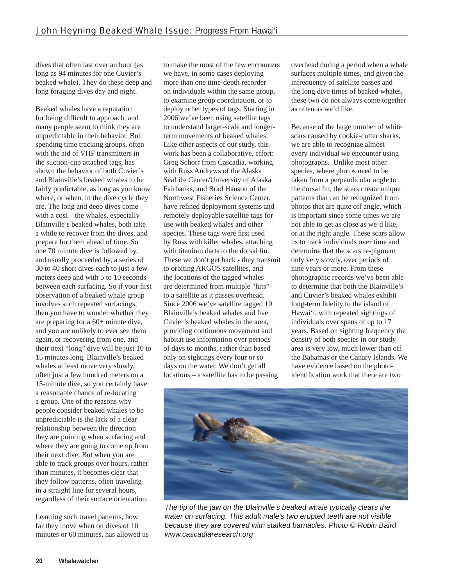dives that often last over an hour (as long as 94 minutes for one Cuvier's beaked whale). They do these deep and long foraging dives day and night.

Beaked whales have a reputation for being difficult to approach, and many people seem to think they are unpredictable in their behavior. But spending time tracking groups, often with the aid of VHF transmitters in the suction-cup attached tags, has shown the behavior of both Cuvier's and Blainville's beaked whales to be fairly predictable, as long as you know where, or when, in the dive cycle they are. The long and deep dives come with a cost – the whales, especially Blainville's beaked whales, both take a while to recover from the dives, and prepare for them ahead of time. So one 70 minute dive is followed by, and usually proceeded by, a series of 30 to 40 short dives each to just a few meters deep and with 5 to 10 seconds between each surfacing. So if your first observation of a beaked whale group involves such repeated surfacings, then you have to wonder whether they are preparing for a 60+ minute dive, and you are unlikely to ever see them again, or recovering from one, and their next "long" dive will be just 10 to 15 minutes long. Blainville's beaked whales at least move very slowly, often just a few hundred meters on a 15-minute dive, so you certainly have a reasonable chance of re-locating a group. One of the reasons why people consider beaked whales to be unpredictable is the lack of a clear relationship between the direction they are pointing when surfacing and where they are going to come up from their next dive. But when you are able to track groups over hours, rather than minutes, it becomes clear that they follow patterns, often traveling in a straight line for several hours, regardless of their surface orientation.

Learning such travel patterns, how far they move when on dives of 10 minutes or 60 minutes, has allowed us to make the most of the few encounters we have, in some cases deploying more than one time-depth recorder on individuals within the same group, to examine group coordination, or to deploy other types of tags. Starting in 2006 we've been using satellite tags to understand larger-scale and longerterm movements of beaked whales. Like other aspects of our study, this work has been a collaborative, effort: Greg Schorr from Cascadia, working with Russ Andrews of the Alaska SeaLife Center/University of Alaska Fairbanks, and Brad Hanson of the Northwest Fisheries Science Center, have refined deployment systems and remotely deployable satellite tags for use with beaked whales and other species. These tags were first used by Russ with killer whales, attaching with titanium darts to the dorsal fin. These we don't get back - they transmit to orbiting ARGOS satellites, and the locations of the tagged whales are determined from multiple "hits" to a satellite as it passes overhead. Since 2006 we've satellite tagged 10 Blainville's beaked whales and five Cuvier's beaked whales in the area, providing continuous movement and habitat use information over periods of days to months, rather than based only on sightings every four or so days on the water. We don't get all locations – a satellite has to be passing

overhead during a period when a whale surfaces multiple times, and given the infrequency of satellite passes and the long dive times of beaked whales, these two do not always come together as often as we'd like.

Because of the large number of white scars caused by cookie-cutter sharks, we are able to recognize almost every individual we encounter using photographs. Unlike most other species, where photos need to be taken from a perpendicular angle to the dorsal fin, the scars create unique patterns that can be recognized from photos that are quite off angle, which is important since some times we are not able to get as close as we'd like, or at the right angle. These scars allow us to track individuals over time and determine that the scars re-pigment only very slowly, over periods of nine years or more. From these photographic records we've been able to determine that both the Blainville's and Cuvier's beaked whales exhibit long-term fidelity to the island of Hawai'i, with repeated sightings of individuals over spans of up to 17 years. Based on sighting frequency the density of both species in our study area is very low, much lower than off the Bahamas or the Canary Islands. We have evidence based on the photoidentification work that there are two



The tip of the jaw on the Blainville's beaked whale typically clears the water on surfacing. This adult male's two erupted teeth are not visible because they are covered with stalked barnacles. Photo © Robin Baird www.cascadiaresearch.org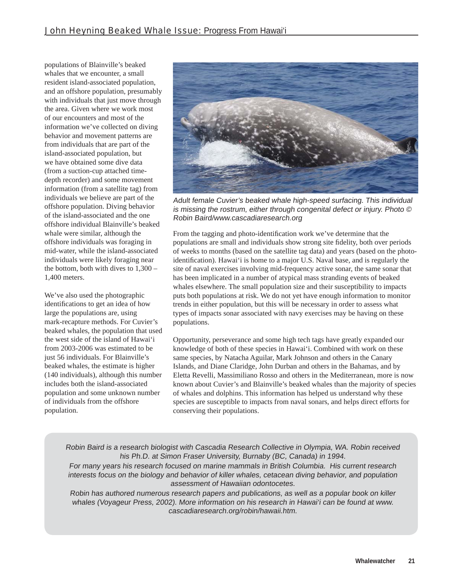populations of Blainville's beaked whales that we encounter, a small resident island-associated population, and an offshore population, presumably with individuals that just move through the area. Given where we work most of our encounters and most of the information we've collected on diving behavior and movement patterns are from individuals that are part of the island-associated population, but we have obtained some dive data (from a suction-cup attached timedepth recorder) and some movement information (from a satellite tag) from individuals we believe are part of the offshore population. Diving behavior of the island-associated and the one offshore individual Blainville's beaked whale were similar, although the offshore individuals was foraging in mid-water, while the island-associated individuals were likely foraging near the bottom, both with dives to 1,300 – 1,400 meters.

We've also used the photographic identifications to get an idea of how large the populations are, using mark-recapture methods. For Cuvier's beaked whales, the population that used the west side of the island of Hawai'i from 2003-2006 was estimated to be just 56 individuals. For Blainville's beaked whales, the estimate is higher (140 individuals), although this number includes both the island-associated population and some unknown number of individuals from the offshore population.



Adult female Cuvier's beaked whale high-speed surfacing. This individual is missing the rostrum, either through congenital defect or injury. Photo © Robin Baird/www.cascadiaresearch.org

From the tagging and photo-identification work we've determine that the populations are small and individuals show strong site fidelity, both over periods of weeks to months (based on the satellite tag data) and years (based on the photoidentification). Hawai'i is home to a major U.S. Naval base, and is regularly the site of naval exercises involving mid-frequency active sonar, the same sonar that has been implicated in a number of atypical mass stranding events of beaked whales elsewhere. The small population size and their susceptibility to impacts puts both populations at risk. We do not yet have enough information to monitor trends in either population, but this will be necessary in order to assess what types of impacts sonar associated with navy exercises may be having on these populations.

Opportunity, perseverance and some high tech tags have greatly expanded our knowledge of both of these species in Hawai'i. Combined with work on these same species, by Natacha Aguilar, Mark Johnson and others in the Canary Islands, and Diane Claridge, John Durban and others in the Bahamas, and by Eletta Revelli, Massimiliano Rosso and others in the Mediterranean, more is now known about Cuvier's and Blainville's beaked whales than the majority of species of whales and dolphins. This information has helped us understand why these species are susceptible to impacts from naval sonars, and helps direct efforts for conserving their populations.

Robin Baird is a research biologist with Cascadia Research Collective in Olympia, WA. Robin received his Ph.D. at Simon Fraser University, Burnaby (BC, Canada) in 1994.

For many years his research focused on marine mammals in British Columbia. His current research interests focus on the biology and behavior of killer whales, cetacean diving behavior, and population assessment of Hawaiian odontocetes.

Robin has authored numerous research papers and publications, as well as a popular book on killer whales (Voyageur Press, 2002). More information on his research in Hawai'i can be found at www. cascadiaresearch.org/robin/hawaii.htm.